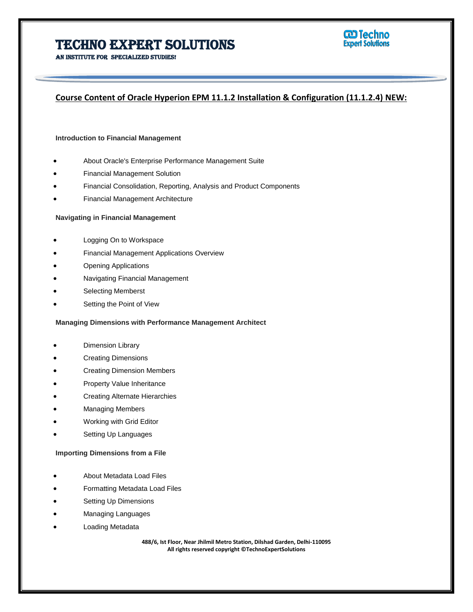

An institute for specialized studies!

# **Course Content of Oracle Hyperion EPM 11.1.2 Installation & Configuration (11.1.2.4) NEW:**

#### **Introduction to Financial Management**

- About Oracle's Enterprise Performance Management Suite
- Financial Management Solution
- Financial Consolidation, Reporting, Analysis and Product Components
- Financial Management Architecture

#### **Navigating in Financial Management**

- Logging On to Workspace
- Financial Management Applications Overview
- Opening Applications
- Navigating Financial Management
- Selecting Memberst
- Setting the Point of View

#### **Managing Dimensions with Performance Management Architect**

- Dimension Library
- Creating Dimensions
- Creating Dimension Members
- Property Value Inheritance
- Creating Alternate Hierarchies
- Managing Members
- Working with Grid Editor
- Setting Up Languages

#### **Importing Dimensions from a File**

- About Metadata Load Files
- Formatting Metadata Load Files
- Setting Up Dimensions
- Managing Languages
- Loading Metadata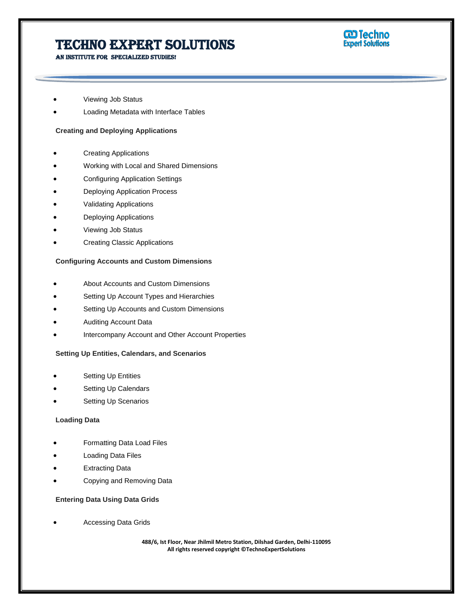AN INSTITUTE FOR SPECIALIZED STUDIES!



- Viewing Job Status
- Loading Metadata with Interface Tables

# **Creating and Deploying Applications**

- Creating Applications
- Working with Local and Shared Dimensions
- Configuring Application Settings
- Deploying Application Process
- Validating Applications
- Deploying Applications
- Viewing Job Status
- Creating Classic Applications

# **Configuring Accounts and Custom Dimensions**

- About Accounts and Custom Dimensions
- Setting Up Account Types and Hierarchies
- Setting Up Accounts and Custom Dimensions
- Auditing Account Data
- Intercompany Account and Other Account Properties

# **Setting Up Entities, Calendars, and Scenarios**

- Setting Up Entities
- Setting Up Calendars
- Setting Up Scenarios

## **Loading Data**

- Formatting Data Load Files
- Loading Data Files
- Extracting Data
- Copying and Removing Data

# **Entering Data Using Data Grids**

Accessing Data Grids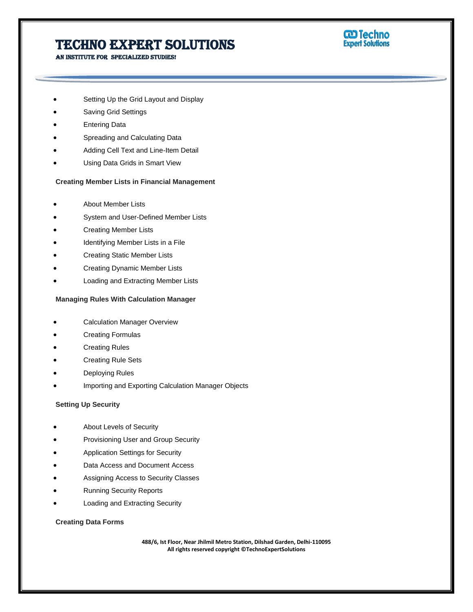**W** Techno<br>Expert Solutions

An institute for specialized studies!

- Setting Up the Grid Layout and Display
- Saving Grid Settings
- Entering Data
- Spreading and Calculating Data
- Adding Cell Text and Line-Item Detail
- Using Data Grids in Smart View

## **Creating Member Lists in Financial Management**

- About Member Lists
- System and User-Defined Member Lists
- Creating Member Lists
- Identifying Member Lists in a File
- Creating Static Member Lists
- Creating Dynamic Member Lists
- Loading and Extracting Member Lists

## **Managing Rules With Calculation Manager**

- Calculation Manager Overview
- Creating Formulas
- Creating Rules
- Creating Rule Sets
- Deploying Rules
- Importing and Exporting Calculation Manager Objects

### **Setting Up Security**

- About Levels of Security
- Provisioning User and Group Security
- Application Settings for Security
- Data Access and Document Access
- Assigning Access to Security Classes
- Running Security Reports
- Loading and Extracting Security

### **Creating Data Forms**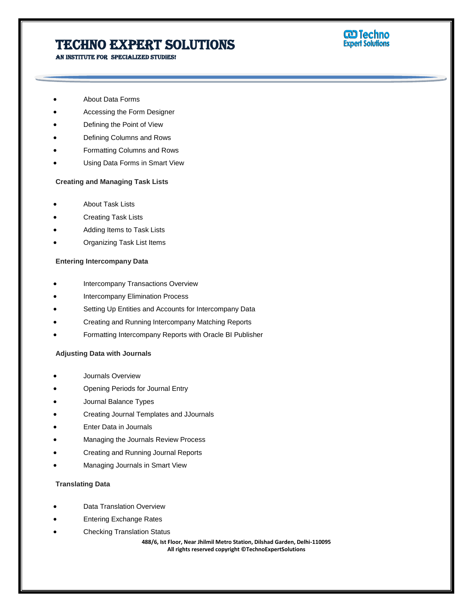An institute for specialized studies!



- About Data Forms
- Accessing the Form Designer
- Defining the Point of View
- Defining Columns and Rows
- Formatting Columns and Rows
- Using Data Forms in Smart View

#### **Creating and Managing Task Lists**

- About Task Lists
- Creating Task Lists
- Adding Items to Task Lists
- Organizing Task List Items

#### **Entering Intercompany Data**

- Intercompany Transactions Overview
- Intercompany Elimination Process
- Setting Up Entities and Accounts for Intercompany Data
- Creating and Running Intercompany Matching Reports
- Formatting Intercompany Reports with Oracle BI Publisher

#### **Adjusting Data with Journals**

- Journals Overview
- Opening Periods for Journal Entry
- Journal Balance Types
- Creating Journal Templates and JJournals
- Enter Data in Journals
- Managing the Journals Review Process
- Creating and Running Journal Reports
- Managing Journals in Smart View

### **Translating Data**

- Data Translation Overview
- Entering Exchange Rates
- Checking Translation Status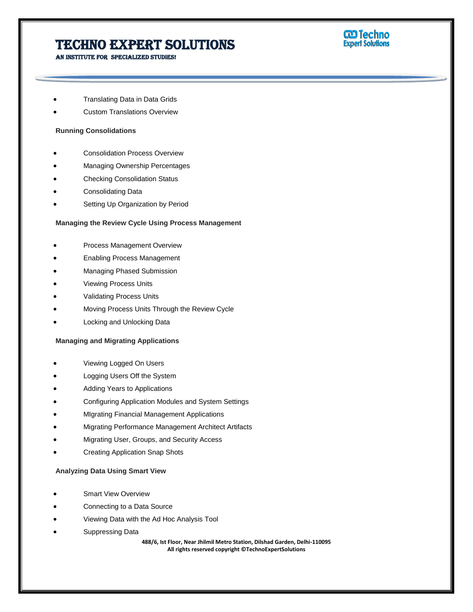

An institute for specialized studies!

- Translating Data in Data Grids
- Custom Translations Overview

#### **Running Consolidations**

- Consolidation Process Overview
- Managing Ownership Percentages
- Checking Consolidation Status
- Consolidating Data
- Setting Up Organization by Period

#### **Managing the Review Cycle Using Process Management**

- Process Management Overview
- Enabling Process Management
- Managing Phased Submission
- Viewing Process Units
- Validating Process Units
- Moving Process Units Through the Review Cycle
- Locking and Unlocking Data

#### **Managing and Migrating Applications**

- Viewing Logged On Users
- Logging Users Off the System
- Adding Years to Applications
- Configuring Application Modules and System Settings
- MIgrating Financial Management Applications
- Migrating Performance Management Architect Artifacts
- Migrating User, Groups, and Security Access
- Creating Application Snap Shots

#### **Analyzing Data Using Smart View**

- Smart View Overview
- Connecting to a Data Source
- Viewing Data with the Ad Hoc Analysis Tool
- Suppressing Data